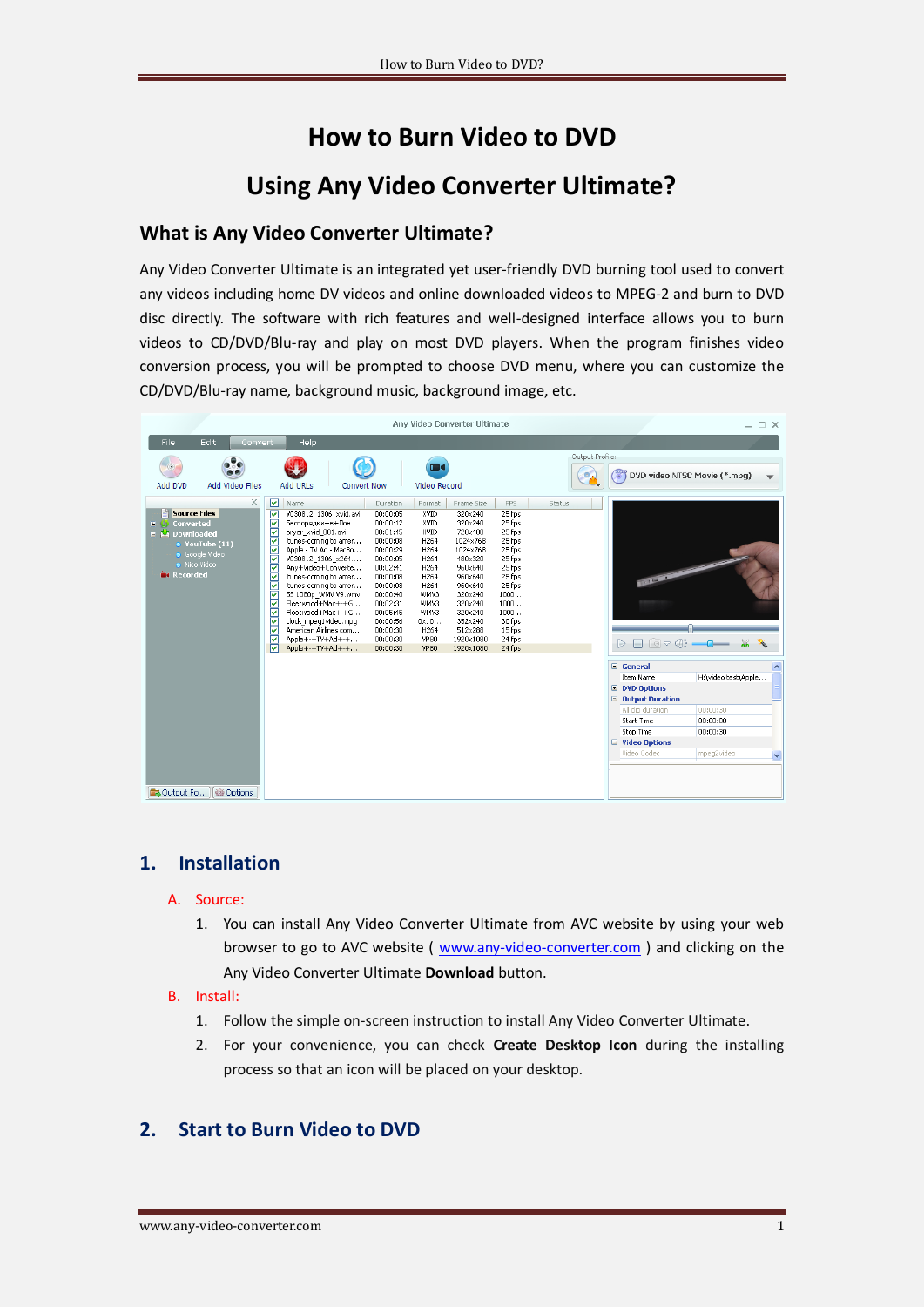# **How to Burn Video to DVD Using Any Video Converter Ultimate?**

## **What is Any Video Converter Ultimate?**

Any Video Converter Ultimate is an integrated yet user-friendly DVD burning tool used to convert any videos including home DV videos and online downloaded videos to MPEG-2 and burn to DVD disc directly. The software with rich features and well-designed interface allows you to burn videos to CD/DVD/Blu-ray and play on most DVD players. When the program finishes video conversion process, you will be prompted to choose DVD menu, where you can customize the CD/DVD/Blu-ray name, background music, background image, etc.

|                                                                                                                                                                                  | Any Video Converter Ultimate                                                                                                                                                                                                                                                                                                                                                                                                                                                                                                                                                                                                                                                                                                                                                                                                                                                                                                                                                                                                                                                                                                                                                                                                        | $- \Box$ $\times$                                                                                                                                                                                                                   |
|----------------------------------------------------------------------------------------------------------------------------------------------------------------------------------|-------------------------------------------------------------------------------------------------------------------------------------------------------------------------------------------------------------------------------------------------------------------------------------------------------------------------------------------------------------------------------------------------------------------------------------------------------------------------------------------------------------------------------------------------------------------------------------------------------------------------------------------------------------------------------------------------------------------------------------------------------------------------------------------------------------------------------------------------------------------------------------------------------------------------------------------------------------------------------------------------------------------------------------------------------------------------------------------------------------------------------------------------------------------------------------------------------------------------------------|-------------------------------------------------------------------------------------------------------------------------------------------------------------------------------------------------------------------------------------|
| Edit.<br>File<br>Convert                                                                                                                                                         | Help                                                                                                                                                                                                                                                                                                                                                                                                                                                                                                                                                                                                                                                                                                                                                                                                                                                                                                                                                                                                                                                                                                                                                                                                                                |                                                                                                                                                                                                                                     |
| $(\odot)$<br>Add DVD<br>Add Video Files                                                                                                                                          | mа<br><b>Add URLs</b><br><b>Convert Now!</b><br>Video Record                                                                                                                                                                                                                                                                                                                                                                                                                                                                                                                                                                                                                                                                                                                                                                                                                                                                                                                                                                                                                                                                                                                                                                        | Output Profile:<br>DVD video NTSC Movie (*.mpg)                                                                                                                                                                                     |
| $\times$<br><b>Source Files</b><br>Converted<br>田崎<br>$\blacksquare$ $\blacksquare$ Downloaded<br>$\bullet$ YouTube (11)<br>· Google Video<br>· Nico Video<br><b>Na Recorded</b> | ☑<br>Name.<br><b>FPS</b><br><b>Duration</b><br>Format<br>Frame Size<br><u>बाबाबाबाबाबा</u><br>25 fps<br>V030812_1306_xvid.avi<br>00:00:05<br>XVID<br>320×240<br>320×240<br>25 fps<br>Беспорядки+в+Лон<br>00:00:12<br>XVID<br>pryor xvid 001.avi<br>00:01:45<br>XVID<br>720×480<br>25 fps<br>itunes-coming to amer<br>00:00:08<br>H264<br>1024×768<br>25 fps<br>Apple - TV Ad - MacBo<br>00:00:29<br>1024×768<br>25 fps<br>H264<br>00:00:05<br>25 fps<br>V030812 1306 x264<br>H264<br>480×320<br>Any+Video+Converte<br>960×640<br>25 fps<br>00:02:41<br>H <sub>264</sub><br>itunes-coming to amer<br>00:00:08<br>960×640<br>25 fps<br>H <sub>264</sub><br>25 fps<br>itunes-coming to amer<br>00:00:08<br>960×640<br>H <sub>264</sub><br>SS 1080p WMV V9.wmv<br>00:00:40<br>320×240<br>1000<br>WMV3<br><b>2333</b><br>Fleetwood+Mac+-+G<br>320×240<br>1000<br>00:02:31<br>WMV3<br>Fleetwood+Mac+-+G<br>00:05:45<br>WMV3<br>320×240<br>1000<br>352×240<br>30 fps<br>clock mpeg1video.mpg<br>00:00:56<br>$0 \times 10$<br>American Airlines com<br>512×288<br>15 fps<br>00:00:30<br>H264<br>Ħ<br>Apple+-+TV+Ad+-+<br>00:00:30<br>1920×1080<br>24 fps<br><b>VP80</b><br>ы<br>Apple+-+TV+Ad+-+<br>24 fps<br>00:00:30<br>VP80<br>1920×1080 | <b>Status</b><br>$\Box \circ \Diamond$<br>$\frac{1}{26}$                                                                                                                                                                            |
| Coutput Fol<br><b>@ Options</b>                                                                                                                                                  |                                                                                                                                                                                                                                                                                                                                                                                                                                                                                                                                                                                                                                                                                                                                                                                                                                                                                                                                                                                                                                                                                                                                                                                                                                     | □ General<br>H:\video test\Apple<br>Item Name<br><b>E</b> DVD Options<br>□ Output Duration<br>All clip duration<br>00:00:30<br>Start Time<br>00:00:00<br>Stop Time<br>00:00:30<br>□ Video Options<br>Video Codec<br>mpeg2video<br>v |

# **1. Installation**

#### A. Source:

1. You can install Any Video Converter Ultimate from AVC website by using your web browser to go to AVC website ( [www.any-video-converter.com](http://www.any-video-converter.com/) ) and clicking on the Any Video Converter Ultimate **Download** button.

#### B. Install:

- 1. Follow the simple on-screen instruction to install Any Video Converter Ultimate.
- 2. For your convenience, you can check **Create Desktop Icon** during the installing process so that an icon will be placed on your desktop.

### **2. Start to Burn Video to DVD**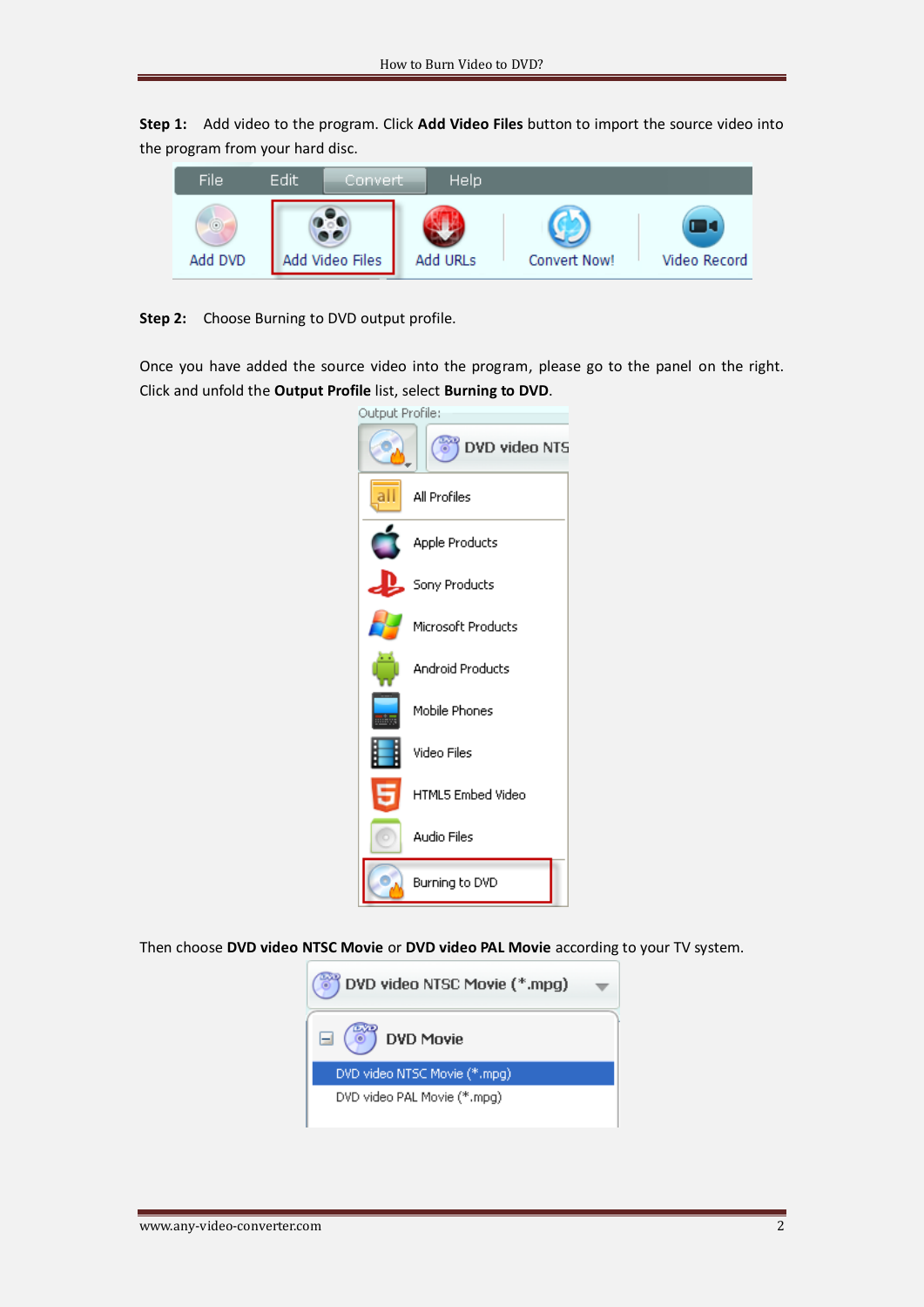**Step 1:** Add video to the program. Click **Add Video Files** button to import the source video into the program from your hard disc.



**Step 2:** Choose Burning to DVD output profile.

Once you have added the source video into the program, please go to the panel on the right. Click and unfold the **Output Profile** list, select **Burning to DVD**.

| Output Profile: |                         |
|-----------------|-------------------------|
|                 | OVD video NTS           |
|                 | All Profiles            |
|                 | Apple Products          |
|                 | Sony Products           |
|                 | Microsoft Products      |
|                 | <b>Android Products</b> |
|                 | Mobile Phones           |
|                 | Video Files             |
|                 | HTML5 Embed Video       |
|                 | Audio Files             |
|                 | Burning to DVD          |
|                 |                         |

Then choose **DVD video NTSC Movie** or **DVD video PAL Movie** according to your TV system.

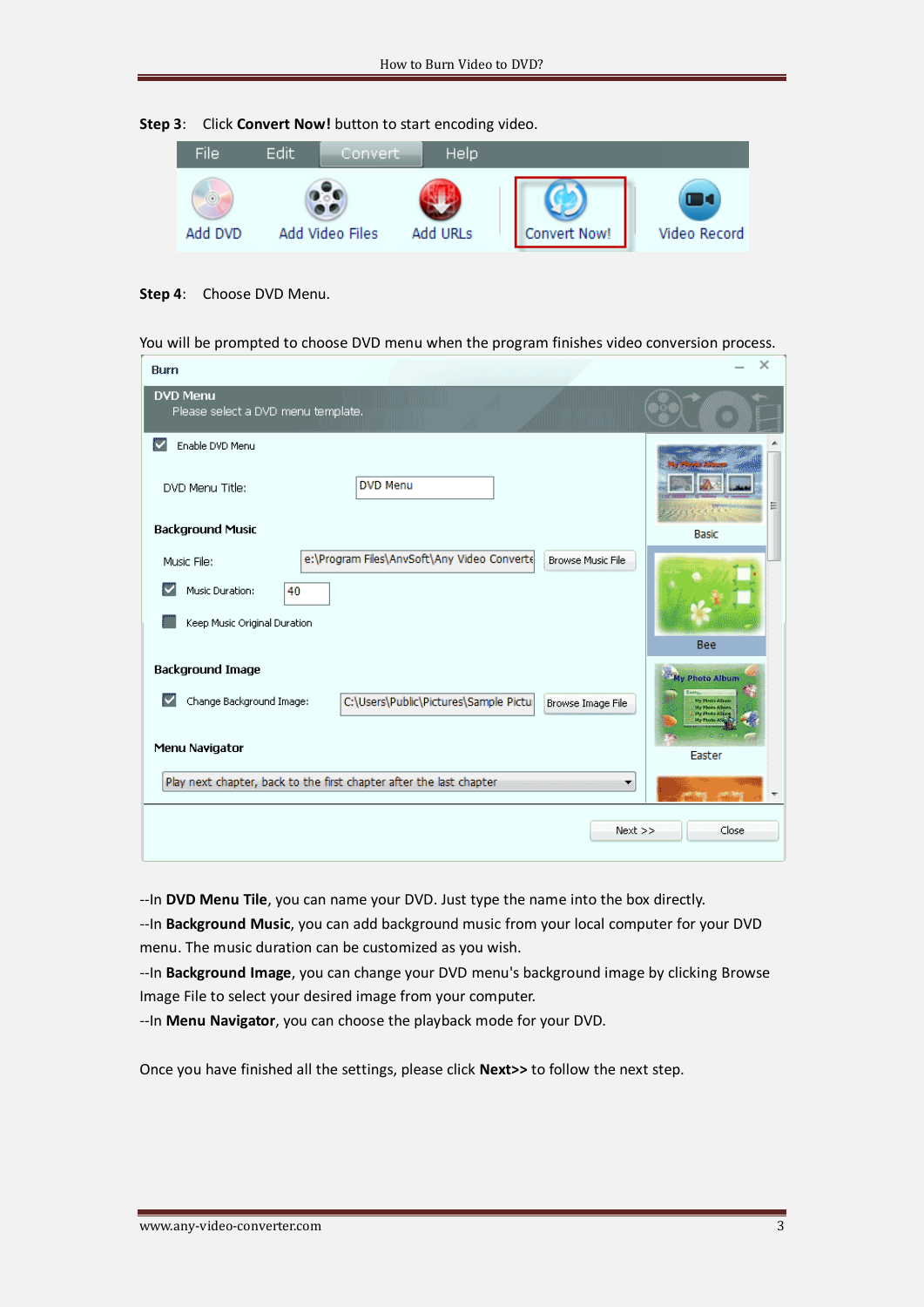



**Step 4**: Choose DVD Menu.

You will be prompted to choose DVD menu when the program finishes video conversion process.

| Burn                                                                                                                                            | ×                                                                                    |
|-------------------------------------------------------------------------------------------------------------------------------------------------|--------------------------------------------------------------------------------------|
| <b>DVD Menu</b><br>Please select a DVD menu template.                                                                                           |                                                                                      |
| v<br>Enable DVD Menu                                                                                                                            |                                                                                      |
| <b>DVD Menu</b><br>DVD Menu Title:                                                                                                              | Ξ                                                                                    |
| <b>Background Music</b>                                                                                                                         | <b>Basic</b>                                                                         |
| e:\Program Files\AnvSoft\Any Video Converte<br><b>Browse Music File</b><br>Music File:<br>Music Duration:<br>40<br>Keep Music Original Duration |                                                                                      |
|                                                                                                                                                 | Bee                                                                                  |
| <b>Background Image</b>                                                                                                                         | My Photo Album                                                                       |
| Change Background Image:<br>C:\Users\Public\Pictures\Sample Pictul<br>M<br>Browse Image File                                                    | My North Albert<br><b>My Phoen Advise</b><br><b>Hy Photo Atto</b><br><b>Ry Phone</b> |
| Menu Navigator                                                                                                                                  | Easter                                                                               |
| Play next chapter, back to the first chapter after the last chapter                                                                             |                                                                                      |
| $Next$ >>                                                                                                                                       | Close                                                                                |

--In **DVD Menu Tile**, you can name your DVD. Just type the name into the box directly.

--In **Background Music**, you can add background music from your local computer for your DVD menu. The music duration can be customized as you wish.

--In **Background Image**, you can change your DVD menu's background image by clicking Browse Image File to select your desired image from your computer.

--In **Menu Navigator**, you can choose the playback mode for your DVD.

Once you have finished all the settings, please click **Next>>** to follow the next step.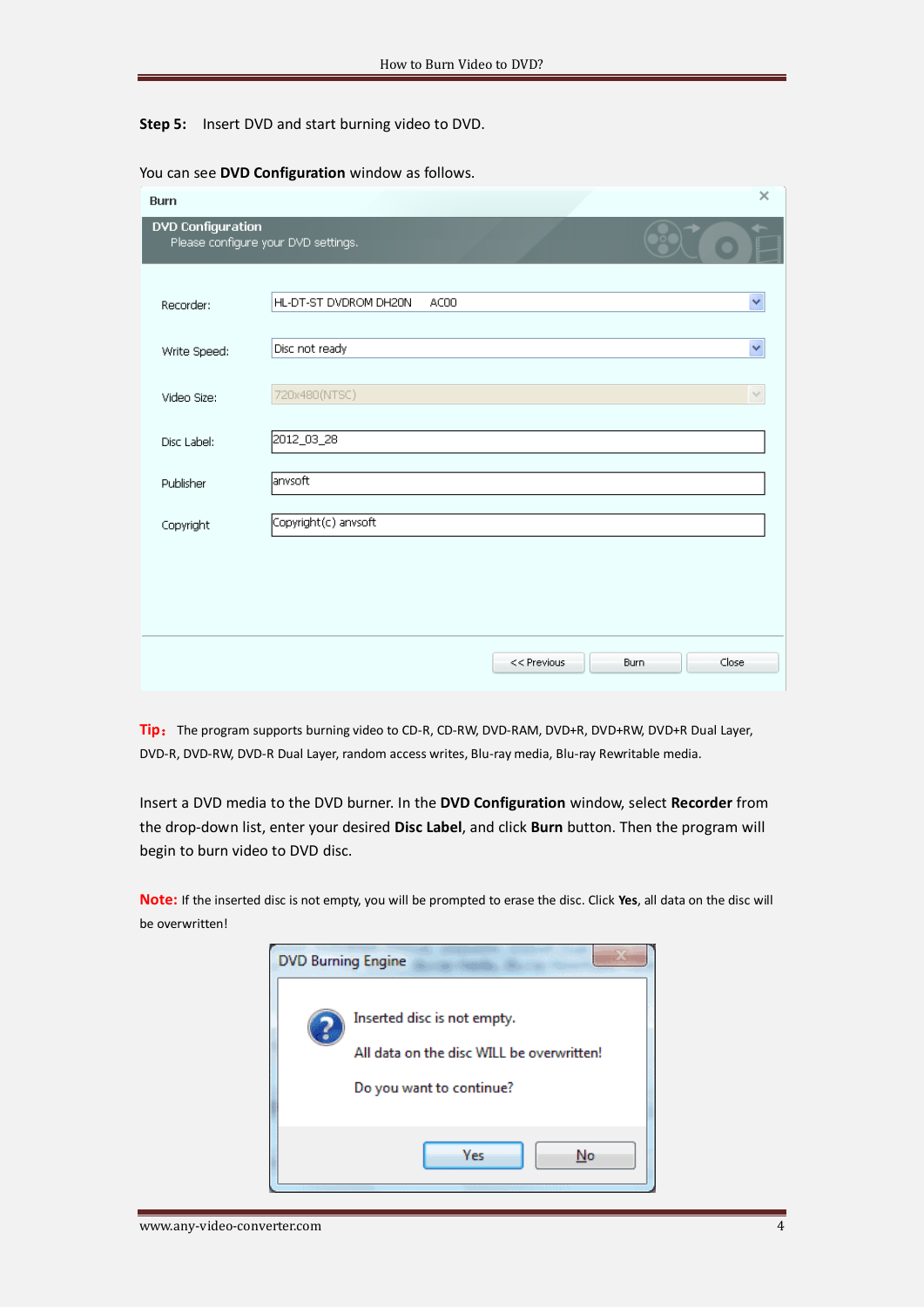**Step 5:** Insert DVD and start burning video to DVD.

| <b>Burn</b>                                                     | ×                                     |  |
|-----------------------------------------------------------------|---------------------------------------|--|
| <b>DVD Configuration</b><br>Please configure your DVD settings. |                                       |  |
| Recorder:                                                       | Ÿ<br>HL-DT-ST DVDROM DH20N<br>AC00    |  |
| Write Speed:                                                    | Disc not ready<br>Ÿ                   |  |
| Video Size:                                                     | 720x480(NTSC)<br>$\sim$               |  |
| Disc Label:                                                     | 2012_03_28                            |  |
| Publisher                                                       | lanvsoft                              |  |
| Copyright                                                       | Copyright(c) anvsoft                  |  |
|                                                                 |                                       |  |
|                                                                 |                                       |  |
|                                                                 |                                       |  |
|                                                                 | Close<br>$<<$ Previous<br><b>Burn</b> |  |

You can see **DVD Configuration** window as follows.

Tip: The program supports burning video to CD-R, CD-RW, DVD-RAM, DVD+R, DVD+RW, DVD+R Dual Layer, DVD-R, DVD-RW, DVD-R Dual Layer, random access writes, Blu-ray media, Blu-ray Rewritable media.

Insert a DVD media to the DVD burner. In the **DVD Configuration** window, select **Recorder** from the drop-down list, enter your desired **Disc Label**, and click **Burn** button. Then the program will begin to burn video to DVD disc.

**Note:** If the inserted disc is not empty, you will be prompted to erase the disc. Click **Yes**, all data on the disc will be overwritten!